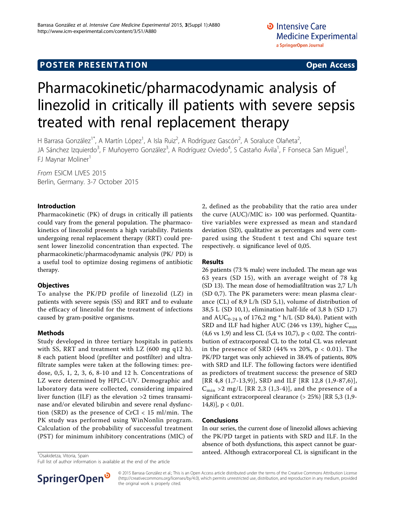## **POSTER PRESENTATION CONSUMING ACCESS**

# Pharmacokinetic/pharmacodynamic analysis of linezolid in critically ill patients with severe sepsis treated with renal replacement therapy

H Barrasa González<sup>1\*</sup>, A Martín López<sup>1</sup>, A Isla Ruiz<sup>2</sup>, A Rodríguez Gascón<sup>2</sup>, A Soraluce Olañeta<sup>2</sup> , JA Sánchez Izquierdo<sup>3</sup>, F Muñoyerro González<sup>3</sup>, A Rodríguez Oviedo<sup>4</sup>, S Castaño Ávila<sup>1</sup>, F Fonseca San Miguel<sup>1</sup> , FJ Maynar Moliner<sup>1</sup>

From ESICM LIVES 2015 Berlin, Germany. 3-7 October 2015

### Introduction

Pharmacokinetic (PK) of drugs in critically ill patients could vary from the general population. The pharmacokinetics of linezolid presents a high variability. Patients undergoing renal replacement therapy (RRT) could present lower linezolid concentration than expected. The pharmacokinetic/pharmacodynamic analysis (PK/ PD) is a useful tool to optimize dosing regimens of antibiotic therapy.

## **Objectives**

To analyse the PK/PD profile of linezolid (LZ) in patients with severe sepsis (SS) and RRT and to evaluate the efficacy of linezolid for the treatment of infections caused by gram-positive organisms.

## Methods

Study developed in three tertiary hospitals in patients with SS, RRT and treatment with LZ (600 mg q12 h). 8 each patient blood (prefilter and postfilter) and ultrafiltrate samples were taken at the following times: predose, 0,5, 1, 2, 3, 6, 8-10 and 12 h. Concentrations of LZ were determined by HPLC-UV. Demographic and laboratory data were collected, considering impaired liver function (ILF) as the elevation >2 times transaminase and/or elevated bilirubin and severe renal dysfunction (SRD) as the presence of  $CrCl < 15$  ml/min. The PK study was performed using WinNonlin program. Calculation of the probability of successful treatment (PST) for minimum inhibitory concentrations (MIC) of

## Conclusions

 $[14,8)$ ],  $p < 0,01$ .

Results

In our series, the current dose of linezolid allows achieving the PK/PD target in patients with SRD and ILF. In the absence of both dysfunctions, this aspect cannot be guar- $\frac{1}{10}$ Sakidetza, Vitoria, Spain

2, defined as the probability that the ratio area under the curve (AUC)/MIC is> 100 was performed. Quantitative variables were expressed as mean and standard deviation (SD), qualitative as percentages and were compared using the Student t test and Chi square test

26 patients (73 % male) were included. The mean age was 63 years (SD 15), with an average weight of 78 kg (SD 13). The mean dose of hemodiafiltration was 2,7 L/h (SD 0,7). The PK parameters were: mean plasma clearance (CL) of 8,9 L/h (SD 5,1), volume of distribution of 38,5 L (SD 10,1), elimination half-life of 3,8 h (SD 1,7) and  $AUC_{0-24}$  h of 176,2 mg \* h/L (SD 84,4). Patient with SRD and ILF had higher AUC (246 vs 139), higher  $C_{\text{min}}$ (4,6 vs 1,9) and less CL (5,4 vs 10,7), p < 0,02. The contribution of extracorporeal CL to the total CL was relevant in the presence of SRD (44% vs 20%,  $p < 0.01$ ). The PK/PD target was only achieved in 38.4% of patients, 80% with SRD and ILF. The following factors were identified as predictors of treatment success: the presence of SRD [RR 4,8 (1,7-13,9)], SRD and ILF [RR 12,8 (1,9-87,6)],  $C_{\text{min}} > 2$  mg/L [RR 2,3 (1,3-4)], and the presence of a significant extracorporeal clearance (> 25%) [RR 5,3 (1,9-

respectively.  $\alpha$  significance level of 0,05.

Full list of author information is available at the end of the article



© 2015 Barrasa González et al.; This is an Open Access article distributed under the terms of the Creative Commons Attribution License [\(http://creativecommons.org/licenses/by/4.0](http://creativecommons.org/licenses/by/4.0)), which permits unrestricted use, distribution, and reproduction in any medium, provided the original work is properly cited.